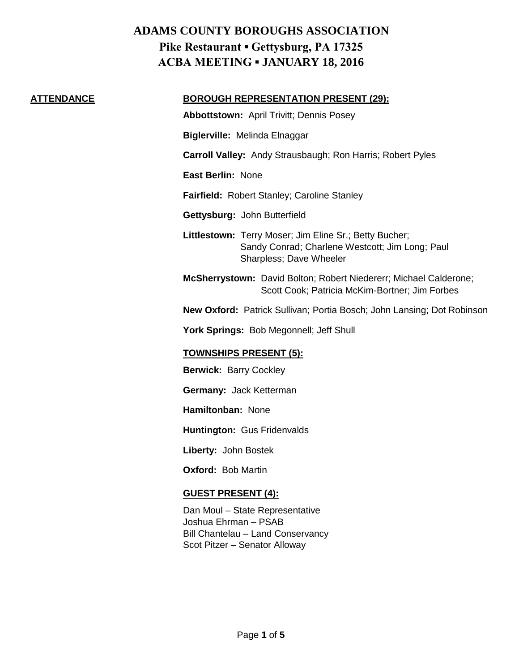### **ATTENDANCE BOROUGH REPRESENTATION PRESENT (29):**

**Abbottstown:** April Trivitt; Dennis Posey

**Biglerville:** Melinda Elnaggar

**Carroll Valley:** Andy Strausbaugh; Ron Harris; Robert Pyles

**East Berlin:** None

**Fairfield:** Robert Stanley; Caroline Stanley

**Gettysburg:** John Butterfield

**Littlestown:** Terry Moser; Jim Eline Sr.; Betty Bucher; Sandy Conrad; Charlene Westcott; Jim Long; Paul Sharpless; Dave Wheeler

**McSherrystown:** David Bolton; Robert Niedererr; Michael Calderone; Scott Cook; Patricia McKim-Bortner; Jim Forbes

**New Oxford:** Patrick Sullivan; Portia Bosch; John Lansing; Dot Robinson

York Springs: Bob Megonnell; Jeff Shull

## **TOWNSHIPS PRESENT (5):**

**Berwick:** Barry Cockley

**Germany:** Jack Ketterman

**Hamiltonban:** None

**Huntington:** Gus Fridenvalds

**Liberty:** John Bostek

**Oxford:** Bob Martin

#### **GUEST PRESENT (4):**

Dan Moul – State Representative Joshua Ehrman – PSAB Bill Chantelau – Land Conservancy Scot Pitzer – Senator Alloway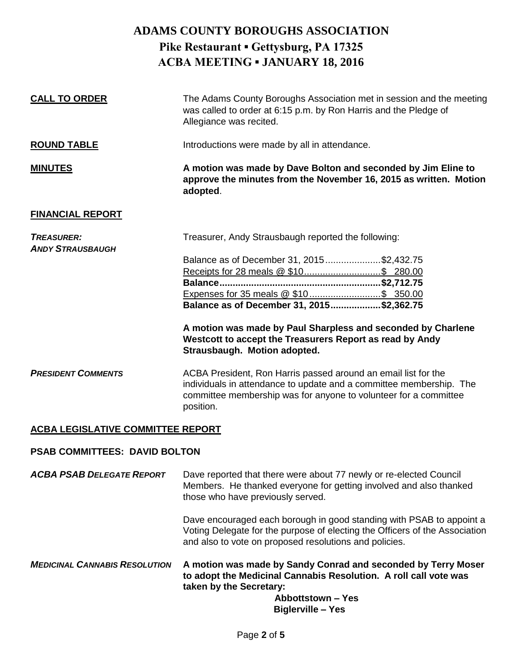| <b>CALL TO ORDER</b>                         | The Adams County Boroughs Association met in session and the meeting<br>was called to order at 6:15 p.m. by Ron Harris and the Pledge of<br>Allegiance was recited.                                                                                                                                                                                 |
|----------------------------------------------|-----------------------------------------------------------------------------------------------------------------------------------------------------------------------------------------------------------------------------------------------------------------------------------------------------------------------------------------------------|
| <b>ROUND TABLE</b>                           | Introductions were made by all in attendance.                                                                                                                                                                                                                                                                                                       |
| <b>MINUTES</b>                               | A motion was made by Dave Bolton and seconded by Jim Eline to<br>approve the minutes from the November 16, 2015 as written. Motion<br>adopted.                                                                                                                                                                                                      |
| <b>FINANCIAL REPORT</b>                      |                                                                                                                                                                                                                                                                                                                                                     |
| <b>TREASURER:</b><br><b>ANDY STRAUSBAUGH</b> | Treasurer, Andy Strausbaugh reported the following:<br>Balance as of December 31, 2015\$2,432.75<br>Expenses for 35 meals @ \$10 \$ 350.00<br>Balance as of December 31, 2015\$2,362.75<br>A motion was made by Paul Sharpless and seconded by Charlene<br>Westcott to accept the Treasurers Report as read by Andy<br>Strausbaugh. Motion adopted. |
| <b>PRESIDENT COMMENTS</b>                    | ACBA President, Ron Harris passed around an email list for the<br>individuals in attendance to update and a committee membership. The<br>committee membership was for anyone to volunteer for a committee<br>position.                                                                                                                              |

## **ACBA LEGISLATIVE COMMITTEE REPORT**

#### **PSAB COMMITTEES: DAVID BOLTON**

*ACBA PSAB DELEGATE REPORT* Dave reported that there were about 77 newly or re-elected Council Members. He thanked everyone for getting involved and also thanked those who have previously served.

> Dave encouraged each borough in good standing with PSAB to appoint a Voting Delegate for the purpose of electing the Officers of the Association and also to vote on proposed resolutions and policies.

*MEDICINAL CANNABIS RESOLUTION* **A motion was made by Sandy Conrad and seconded by Terry Moser to adopt the Medicinal Cannabis Resolution. A roll call vote was taken by the Secretary:**

**Abbottstown – Yes Biglerville – Yes**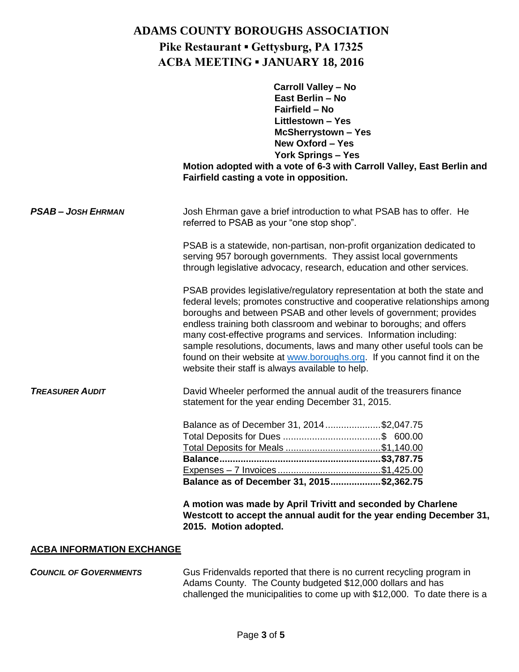|                         | <b>Carroll Valley - No</b><br>East Berlin - No<br>Fairfield - No<br><b>Littlestown - Yes</b><br><b>McSherrystown-Yes</b><br>New Oxford - Yes<br><b>York Springs - Yes</b><br>Motion adopted with a vote of 6-3 with Carroll Valley, East Berlin and<br>Fairfield casting a vote in opposition.                                                                                                                                                                                                                                                                                     |
|-------------------------|------------------------------------------------------------------------------------------------------------------------------------------------------------------------------------------------------------------------------------------------------------------------------------------------------------------------------------------------------------------------------------------------------------------------------------------------------------------------------------------------------------------------------------------------------------------------------------|
| <b>PSAB-JOSH EHRMAN</b> | Josh Ehrman gave a brief introduction to what PSAB has to offer. He<br>referred to PSAB as your "one stop shop".                                                                                                                                                                                                                                                                                                                                                                                                                                                                   |
|                         | PSAB is a statewide, non-partisan, non-profit organization dedicated to<br>serving 957 borough governments. They assist local governments<br>through legislative advocacy, research, education and other services.                                                                                                                                                                                                                                                                                                                                                                 |
|                         | PSAB provides legislative/regulatory representation at both the state and<br>federal levels; promotes constructive and cooperative relationships among<br>boroughs and between PSAB and other levels of government; provides<br>endless training both classroom and webinar to boroughs; and offers<br>many cost-effective programs and services. Information including:<br>sample resolutions, documents, laws and many other useful tools can be<br>found on their website at www.boroughs.org. If you cannot find it on the<br>website their staff is always available to help. |
| <b>TREASURER AUDIT</b>  | David Wheeler performed the annual audit of the treasurers finance<br>statement for the year ending December 31, 2015.                                                                                                                                                                                                                                                                                                                                                                                                                                                             |
|                         | Balance as of December 31, 2014\$2,047.75<br>Total Deposits for Meals \$1,140.00<br>\$3.787.75<br><b>Balance.</b><br>Balance as of December 31, 2015\$2,362.75<br>A motion was made by April Trivitt and seconded by Charlene<br>Westcott to accept the annual audit for the year ending December 31,<br>2015. Motion adopted.                                                                                                                                                                                                                                                     |

## **ACBA INFORMATION EXCHANGE**

**COUNCIL OF GOVERNMENTS** Gus Fridenvalds reported that there is no current recycling program in Adams County. The County budgeted \$12,000 dollars and has challenged the municipalities to come up with \$12,000. To date there is a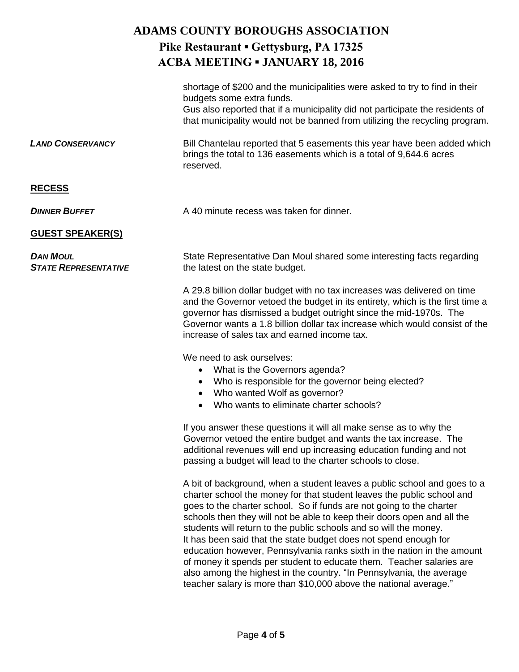|                                                | shortage of \$200 and the municipalities were asked to try to find in their<br>budgets some extra funds.<br>Gus also reported that if a municipality did not participate the residents of<br>that municipality would not be banned from utilizing the recycling program.                                                                                                                                                                       |
|------------------------------------------------|------------------------------------------------------------------------------------------------------------------------------------------------------------------------------------------------------------------------------------------------------------------------------------------------------------------------------------------------------------------------------------------------------------------------------------------------|
| <b>LAND CONSERVANCY</b>                        | Bill Chantelau reported that 5 easements this year have been added which<br>brings the total to 136 easements which is a total of 9,644.6 acres<br>reserved.                                                                                                                                                                                                                                                                                   |
| <b>RECESS</b>                                  |                                                                                                                                                                                                                                                                                                                                                                                                                                                |
| <b>DINNER BUFFET</b>                           | A 40 minute recess was taken for dinner.                                                                                                                                                                                                                                                                                                                                                                                                       |
| <b>GUEST SPEAKER(S)</b>                        |                                                                                                                                                                                                                                                                                                                                                                                                                                                |
| <b>DAN MOUL</b><br><b>STATE REPRESENTATIVE</b> | State Representative Dan Moul shared some interesting facts regarding<br>the latest on the state budget.                                                                                                                                                                                                                                                                                                                                       |
|                                                | A 29.8 billion dollar budget with no tax increases was delivered on time<br>and the Governor vetoed the budget in its entirety, which is the first time a<br>governor has dismissed a budget outright since the mid-1970s. The<br>Governor wants a 1.8 billion dollar tax increase which would consist of the<br>increase of sales tax and earned income tax.                                                                                  |
|                                                | We need to ask ourselves:<br>What is the Governors agenda?<br>$\bullet$<br>Who is responsible for the governor being elected?<br>$\bullet$<br>Who wanted Wolf as governor?<br>$\bullet$<br>Who wants to eliminate charter schools?<br>$\bullet$                                                                                                                                                                                                |
|                                                | If you answer these questions it will all make sense as to why the<br>Governor vetoed the entire budget and wants the tax increase. The<br>additional revenues will end up increasing education funding and not<br>passing a budget will lead to the charter schools to close.                                                                                                                                                                 |
|                                                | A bit of background, when a student leaves a public school and goes to a<br>charter school the money for that student leaves the public school and<br>goes to the charter school. So if funds are not going to the charter<br>schools then they will not be able to keep their doors open and all the<br>students will return to the public schools and so will the money.<br>It has been said that the state budget does not spend enough for |

It has been said that the state budget does not spend enough for education however, Pennsylvania ranks sixth in the nation in the amount of money it spends per student to educate them. Teacher salaries are also among the highest in the country. "In Pennsylvania, the average teacher salary is more than \$10,000 above the national average."